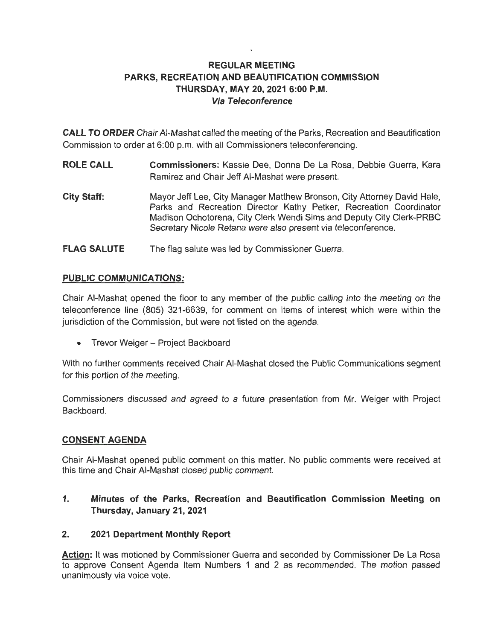# **REGULAR MEETING PARKS, RECREATION AND BEAUTIFICATION COMMISSION THURSDAY, MAY 20, 2021 6:00 P.M. Via Teleconference**

**CALL TO ORDER** Chair AI-Mashat called the meeting of the Parks, Recreation and Beautification Commission to order at 6:00 p.m. with all Commissioners teleconferencing.

- **ROLE CALL Commissioners:** Kassie Dee, Donna De La Rosa, Debbie Guerra, Kara Ramirez and Chair Jeff AI-Mashat were present.
- **City Staff:**  Mayor Jeff Lee, City Manager Matthew Bronson, City Attorney David Hale, Parks and Recreation Director Kathy Petker, Recreation Coordinator Madison Ochotorena, City Clerk Wendi Sims and Deputy City Clerk-PRBC Secretary Nicole Retana were also present via teleconference.
- **FLAG SALUTE**  The flag salute was led by Commissioner Guerra.

# **PUBLIC COMMUNICATIONS:**

Chair AI-Mashat opened the floor to any member of the public calling into the meeting on the teleconference line (805) 321-6639, for comment on items of interest which were within the jurisdiction of the Commission, but were not listed on the agenda.

• Trevor Weiger - Project Backboard

With no further comments received Chair AI-Mashat closed the Public Communications segment for this portion of the meeting.

Commissioners discussed and agreed to a future presentation from Mr. Weiger with Project Backboard.

## **CONSENT AGENDA**

Chair AI-Mashat opened public comment on this matter. No public comments were received at this time and Chair AI-Mashat closed public comment.

**1. Minutes of the Parks, Recreation and Beautification Commission Meeting on Thursday, January 21, 2021** 

## **2. 2021 Department Monthly Report**

**Action:** It was motioned by Commissioner Guerra and seconded by Commissioner De La Rosa to approve Consent Agenda Item Numbers 1 and 2 as recommended . The motion passed unanimously via voice vote.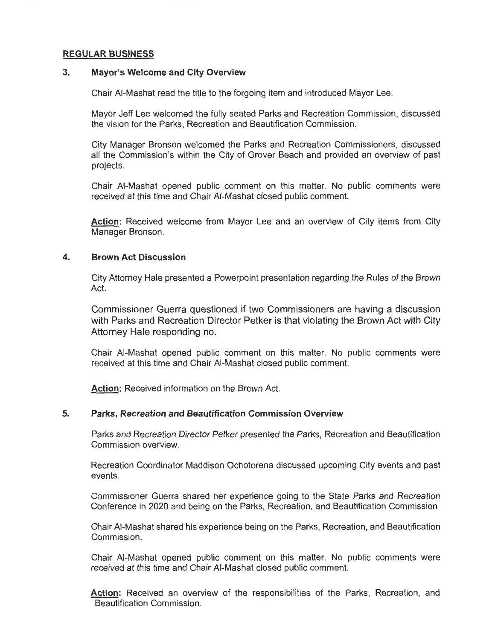### **REGULAR BUSINESS**

### **3. Mayor's Welcome and City Overview**

Chair AI-Mashat read the title to the forgoing item and introduced Mayor Lee.

Mayor Jeff Lee welcomed the fully seated Parks and Recreation Commission, discussed the vision for the Parks, Recreation and Beautification Commission.

City Manager Bronson welcomed the Parks and Recreation Commissioners, discussed all the Commission's within the City of Grover Beach and provided an overview of past projects.

Chair AI-Mashat opened public comment on this matter. No public comments were received at this time and Chair AI-Mashat closed public comment.

**Action:** Received welcome from Mayor Lee and an overview of City items from City Manager Bronson.

#### **4. Brown Act Discussion**

City Attorney Hale presented a Powerpoint presentation regarding the Rules of the Brown Act.

Commissioner Guerra questioned if two Commissioners are having a discussion with Parks and Recreation Director Petker is that violating the Brown Act with City Attorney Hale responding no.

Chair AI-Mashat opened public comment on this matter. No public comments were received at this time and Chair AI-Mashat closed public comment.

**Action:** Received information on the Brown Act.

### **5. Parks, Recreation and Beautification Commission Overview**

Parks and Recreation Director Petker presented the Parks, Recreation and Beautification Commission overview.

Recreation Coordinator Maddison Ochotorena discussed upcoming City events and past events.

Commissioner Guerra shared her experience going to the State Parks and Recreation Conference in 2020 and being on the Parks, Recreation, and Beautification Commission

Chair AI-Mashat shared his experience being on the Parks, Recreation, and Beautification Commission.

Chair AI-Mashat opened public comment on this matter. No public comments were received at this time and Chair AI-Mashat closed public comment.

**Action:** Received an overview of the responsibilities of the Parks, Recreation, and Beautification Commission.